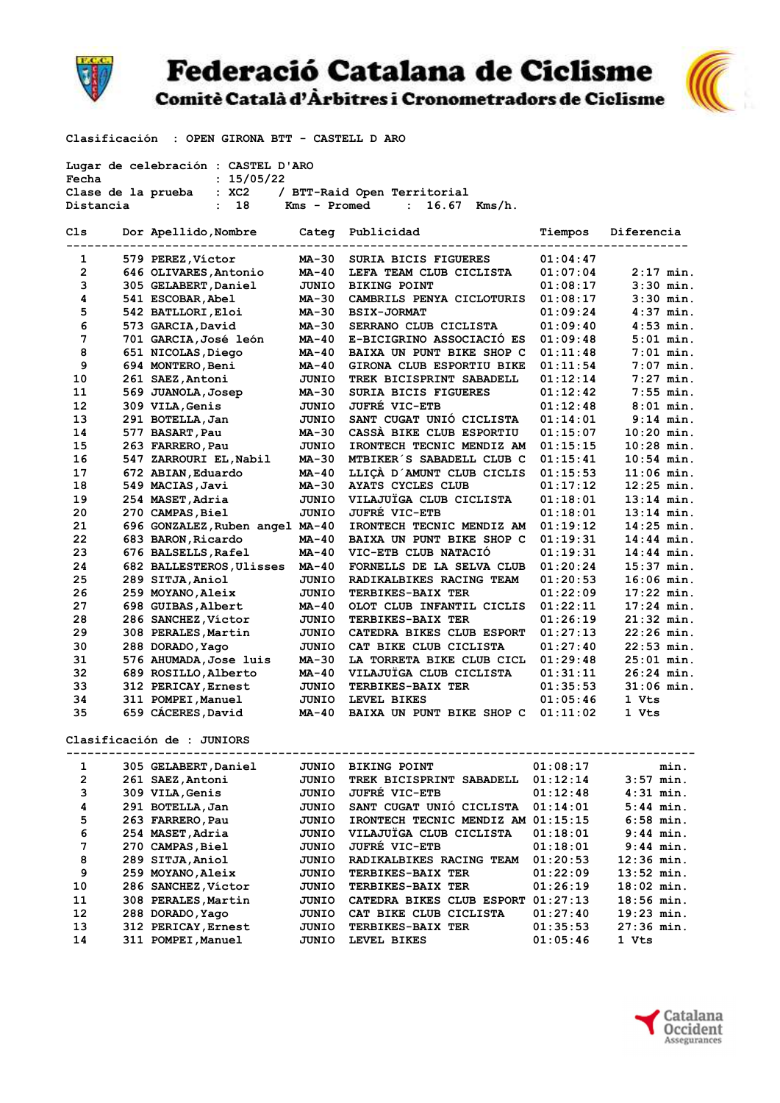

## **Federació Catalana de Ciclisme**

Comitè Català d'Àrbitres i Cronometradors de Ciclisme



Clasificación : OPEN GIRONA BTT - CASTELL D ARO

| Lugar de celebración : CASTEL D'ARO                        |  |                                 |              |                                    |          |              |  |  |  |
|------------------------------------------------------------|--|---------------------------------|--------------|------------------------------------|----------|--------------|--|--|--|
| Fecha<br>: 15/05/22                                        |  |                                 |              |                                    |          |              |  |  |  |
| Clase de la prueba<br>: XC2<br>/ BTT-Raid Open Territorial |  |                                 |              |                                    |          |              |  |  |  |
| Distancia                                                  |  | : 18                            | Kms - Promed | $16.67$ Kms/h.<br>$\mathbf{r}$     |          |              |  |  |  |
| Cls                                                        |  | Dor Apellido, Nombre            |              | Categ Publicidad                   | Tiempos  | Diferencia   |  |  |  |
| 1                                                          |  | 579 PEREZ, Víctor               | MA-30        | SURIA BICIS FIGUERES               | 01:04:47 |              |  |  |  |
| 2                                                          |  | 646 OLIVARES, Antonio           | MA-40        | LEFA TEAM CLUB CICLISTA            | 01:07:04 | $2:17$ min.  |  |  |  |
| 3                                                          |  | 305 GELABERT, Daniel            | <b>JUNIO</b> | <b>BIKING POINT</b>                | 01:08:17 | $3:30$ min.  |  |  |  |
| 4                                                          |  | 541 ESCOBAR, Abel               | MA-30        | CAMBRILS PENYA CICLOTURIS          | 01:08:17 | $3:30$ min.  |  |  |  |
| 5                                                          |  | 542 BATLLORI, Eloi              | MA-30        | <b>BSIX-JORMAT</b>                 | 01:09:24 | $4:37$ min.  |  |  |  |
| 6                                                          |  | 573 GARCIA,David                | <b>MA-30</b> | SERRANO CLUB CICLISTA              | 01:09:40 | $4:53$ min.  |  |  |  |
| 7                                                          |  | 701 GARCIA,José león            | MA-40        | E-BICIGRINO ASSOCIACIÓ ES          | 01:09:48 | $5:01$ min.  |  |  |  |
| 8                                                          |  | 651 NICOLAS, Diego              | MA-40        | BAIXA UN PUNT BIKE SHOP C          | 01:11:48 | $7:01$ min.  |  |  |  |
| 9                                                          |  | 694 MONTERO, Beni               | MA-40        | GIRONA CLUB ESPORTIU BIKE          | 01:11:54 | $7:07$ min.  |  |  |  |
| 10                                                         |  | 261 SAEZ, Antoni                | JUNIO        | TREK BICISPRINT SABADELL           | 01:12:14 | $7:27$ min.  |  |  |  |
| 11                                                         |  | 569 JUANOLA, Josep              | MA-30        | SURIA BICIS FIGUERES               | 01:12:42 | $7:55$ min.  |  |  |  |
| 12                                                         |  | 309 VILA, Genis                 | JUNIO        | <b>JUFRE VIC-ETB</b>               | 01:12:48 | $8:01$ min.  |  |  |  |
| 13                                                         |  | 291 BOTELLA, Jan                | JUNIO        | SANT CUGAT UNIO CICLISTA           | 01:14:01 | $9:14$ min.  |  |  |  |
| 14                                                         |  | 577 BASART, Pau                 | MA-30        | CASSÀ BIKE CLUB ESPORTIU           | 01:15:07 | $10:20$ min. |  |  |  |
| 15                                                         |  | 263 FARRERO, Pau                | JUNIO        | IRONTECH TECNIC MENDIZ AM          | 01:15:15 | $10:28$ min. |  |  |  |
| 16                                                         |  | 547 ZARROURI EL, Nabil          | MA-30        | MTBIKER S SABADELL CLUB C          | 01:15:41 | $10:54$ min. |  |  |  |
| 17                                                         |  | 672 ABIAN, Eduardo              | MA-40        | LLIÇÀ D'AMUNT CLUB CICLIS          | 01:15:53 | $11:06$ min. |  |  |  |
| 18                                                         |  | 549 MACIAS, Javi                | MA-30        | AYATS CYCLES CLUB                  | 01:17:12 | $12:25$ min. |  |  |  |
| 19                                                         |  | 254 MASET, Adria                | JUNIO        | VILAJUÏGA CLUB CICLISTA            | 01:18:01 | $13:14$ min. |  |  |  |
| 20                                                         |  | 270 CAMPAS, Biel                | JUNIO        | <b>JUFRÉ VIC-ETB</b>               | 01:18:01 | $13:14$ min. |  |  |  |
| 21                                                         |  | 696 GONZALEZ, Ruben angel MA-40 |              | IRONTECH TECNIC MENDIZ AM          | 01:19:12 | $14:25$ min. |  |  |  |
| 22                                                         |  | 683 BARON, Ricardo              | MA-40        | BAIXA UN PUNT BIKE SHOP C          | 01:19:31 | $14:44$ min. |  |  |  |
| 23                                                         |  | 676 BALSELLS, Rafel             | MA-40        | VIC-ETB CLUB NATACIO               | 01:19:31 | $14:44$ min. |  |  |  |
| 24                                                         |  | 682 BALLESTEROS, Ulisses        | MA-40        | FORNELLS DE LA SELVA CLUB          | 01:20:24 | $15:37$ min. |  |  |  |
| 25                                                         |  | 289 SITJA, Aniol                | JUNIO        | RADIKALBIKES RACING TEAM           | 01:20:53 | $16:06$ min. |  |  |  |
| 26                                                         |  | 259 MOYANO, Aleix               | JUNIO        | <b>TERBIKES-BAIX TER</b>           | 01:22:09 | $17:22$ min. |  |  |  |
| 27                                                         |  | 698 GUIBAS, Albert              | MA-40        | OLOT CLUB INFANTIL CICLIS          | 01:22:11 | $17:24$ min. |  |  |  |
| 28                                                         |  | 286 SANCHEZ, Víctor             | JUNIO        | <b>TERBIKES-BAIX TER</b>           | 01:26:19 | $21:32$ min. |  |  |  |
| 29                                                         |  | 308 PERALES, Martin             | JUNIO        | CATEDRA BIKES CLUB ESPORT          | 01:27:13 | $22:26$ min. |  |  |  |
| 30                                                         |  | 288 DORADO, Yago                | JUNIO        | CAT BIKE CLUB CICLISTA             | 01:27:40 | $22:53$ min. |  |  |  |
| 31                                                         |  | 576 AHUMADA, Jose luis          | MA-30        | LA TORRETA BIKE CLUB CICL          | 01:29:48 | $25:01$ min. |  |  |  |
| 32                                                         |  | 689 ROSILLO, Alberto            | MA-40        | VILAJUÏGA CLUB CICLISTA            | 01:31:11 | $26:24$ min. |  |  |  |
| 33                                                         |  | 312 PERICAY, Ernest             | JUNIO        | <b>TERBIKES-BAIX TER</b>           | 01:35:53 | $31:06$ min. |  |  |  |
| 34                                                         |  | 311 POMPEI, Manuel              | JUNIO        | LEVEL BIKES                        | 01:05:46 | 1 Vts        |  |  |  |
| 35                                                         |  | 659 CÁCERES, David              | MA-40        | BAIXA UN PUNT BIKE SHOP C          | 01:11:02 | 1 Vts        |  |  |  |
| Clasificación de : JUNIORS                                 |  |                                 |              |                                    |          |              |  |  |  |
| 1                                                          |  | 305 GELABERT, Daniel            | JUNIO        | <b>BIKING POINT</b>                | 01:08:17 | min.         |  |  |  |
| 2                                                          |  | 261 SAEZ, Antoni                | JUNIO        | TREK BICISPRINT SABADELL 01:12:14  |          | $3:57$ min.  |  |  |  |
| 3                                                          |  | <b>309 VILA, Genis</b>          | <b>JUNIO</b> | <b>JUFRE VIC-ETB</b>               | 01:12:48 | $4:31$ min.  |  |  |  |
| 4                                                          |  | 291 BOTELLA, Jan                | JUNIO        | SANT CUGAT UNIÓ CICLISTA           | 01:14:01 | $5:44$ min.  |  |  |  |
| 5                                                          |  | 263 FARRERO, Pau                | JUNIO        | IRONTECH TECNIC MENDIZ AM 01:15:15 |          | $6:58$ min.  |  |  |  |
| 6                                                          |  | 254 MASET, Adria                | <b>JUNIO</b> | VILAJUÏGA CLUB CICLISTA            | 01:18:01 | $9:44$ min.  |  |  |  |
| 7                                                          |  | 270 CAMPAS, Biel                | JUNIO        | <b>JUFRÉ VIC-ETB</b>               | 01:18:01 | $9:44$ min.  |  |  |  |
| 8                                                          |  | 289 SITJA, Aniol                | JUNIO        | <b>RADIKALBIKES RACING TEAM</b>    | 01:20:53 | $12:36$ min. |  |  |  |
| 9                                                          |  | 259 MOYANO, Aleix               | JUNIO        | <b>TERBIKES-BAIX TER</b>           | 01:22:09 | $13:52$ min. |  |  |  |
| 10                                                         |  | 286 SANCHEZ, Víctor             | JUNIO        | <b>TERBIKES-BAIX TER</b>           | 01:26:19 | $18:02$ min. |  |  |  |
| 11                                                         |  | 308 PERALES, Martin             | JUNIO        | CATEDRA BIKES CLUB ESPORT 01:27:13 |          | $18:56$ min. |  |  |  |
| 12                                                         |  | 288 DORADO, Yago                | JUNIO        | CAT BIKE CLUB CICLISTA             | 01:27:40 | $19:23$ min. |  |  |  |
| 13                                                         |  | 312 PERICAY, Ernest             | <b>JUNIO</b> | <b>TERBIKES-BAIX TER</b>           | 01:35:53 | 27:36 min.   |  |  |  |
| 14                                                         |  | 311 POMPEI, Manuel              | <b>JUNIO</b> | LEVEL BIKES                        | 01:05:46 | 1 Vts        |  |  |  |
|                                                            |  |                                 |              |                                    |          |              |  |  |  |